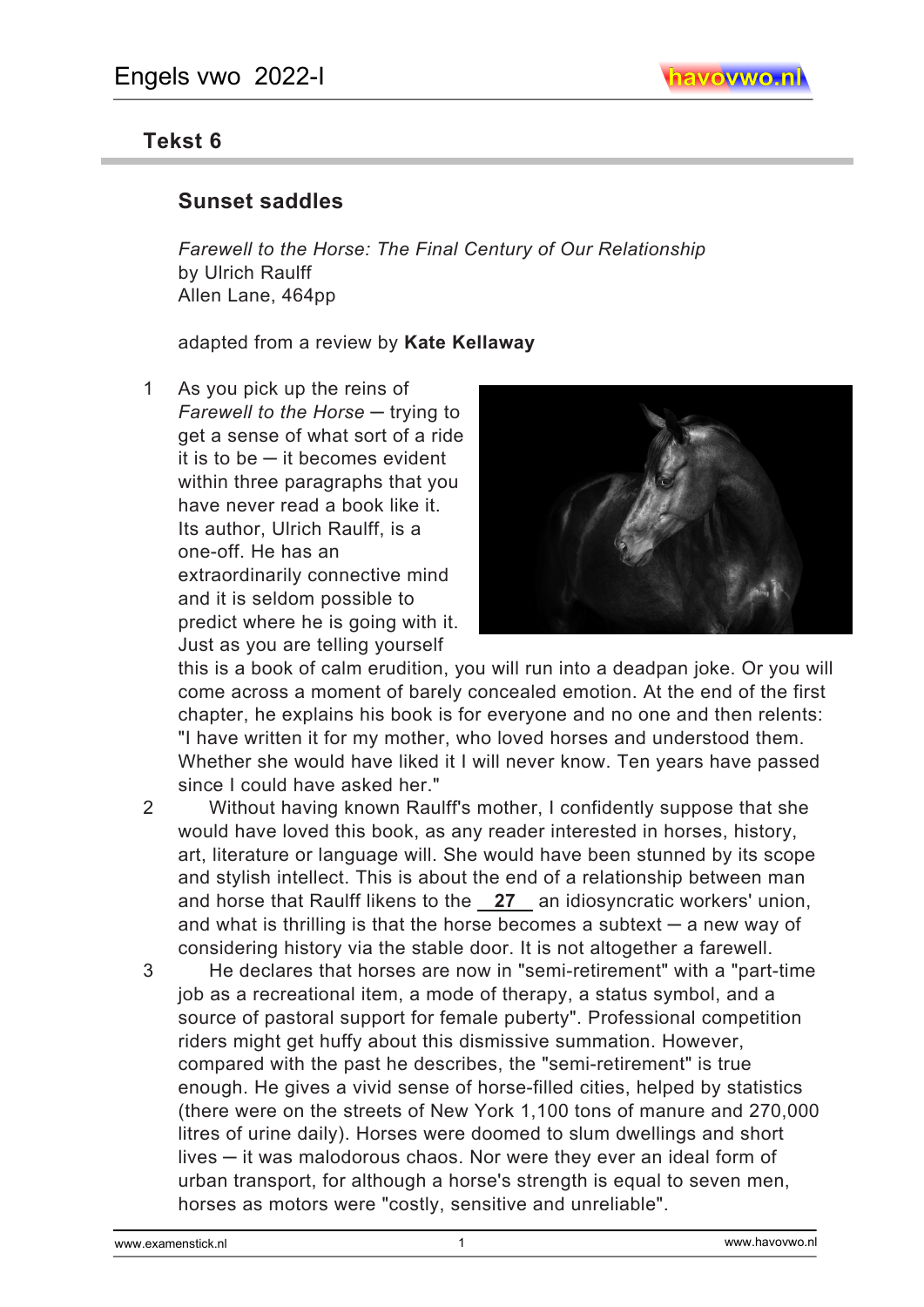## **Tekst 6**

## **Sunset saddles**

*Farewell to the Horse: The Final Century of Our Relationship*  by Ulrich Raulff Allen Lane, 464pp

adapted from a review by **Kate Kellaway**

1 As you pick up the reins of *Farewell to the Horse* ─ trying to get a sense of what sort of a ride it is to be  $-$  it becomes evident within three paragraphs that you have never read a book like it. Its author, Ulrich Raulff, is a one-off. He has an extraordinarily connective mind and it is seldom possible to predict where he is going with it. Just as you are telling yourself



this is a book of calm erudition, you will run into a deadpan joke. Or you will come across a moment of barely concealed emotion. At the end of the first chapter, he explains his book is for everyone and no one and then relents: "I have written it for my mother, who loved horses and understood them. Whether she would have liked it I will never know. Ten years have passed since I could have asked her."

2 Without having known Raulff's mother, I confidently suppose that she would have loved this book, as any reader interested in horses, history, art, literature or language will. She would have been stunned by its scope and stylish intellect. This is about the end of a relationship between man and horse that Raulff likens to the **27** an idiosyncratic workers' union, and what is thrilling is that the horse becomes a subtext  $-$  a new way of considering history via the stable door. It is not altogether a farewell.

3 He declares that horses are now in "semi-retirement" with a "part-time job as a recreational item, a mode of therapy, a status symbol, and a source of pastoral support for female puberty". Professional competition riders might get huffy about this dismissive summation. However, compared with the past he describes, the "semi-retirement" is true enough. He gives a vivid sense of horse-filled cities, helped by statistics (there were on the streets of New York 1,100 tons of manure and 270,000 litres of urine daily). Horses were doomed to slum dwellings and short lives — it was malodorous chaos. Nor were they ever an ideal form of urban transport, for although a horse's strength is equal to seven men, horses as motors were "costly, sensitive and unreliable".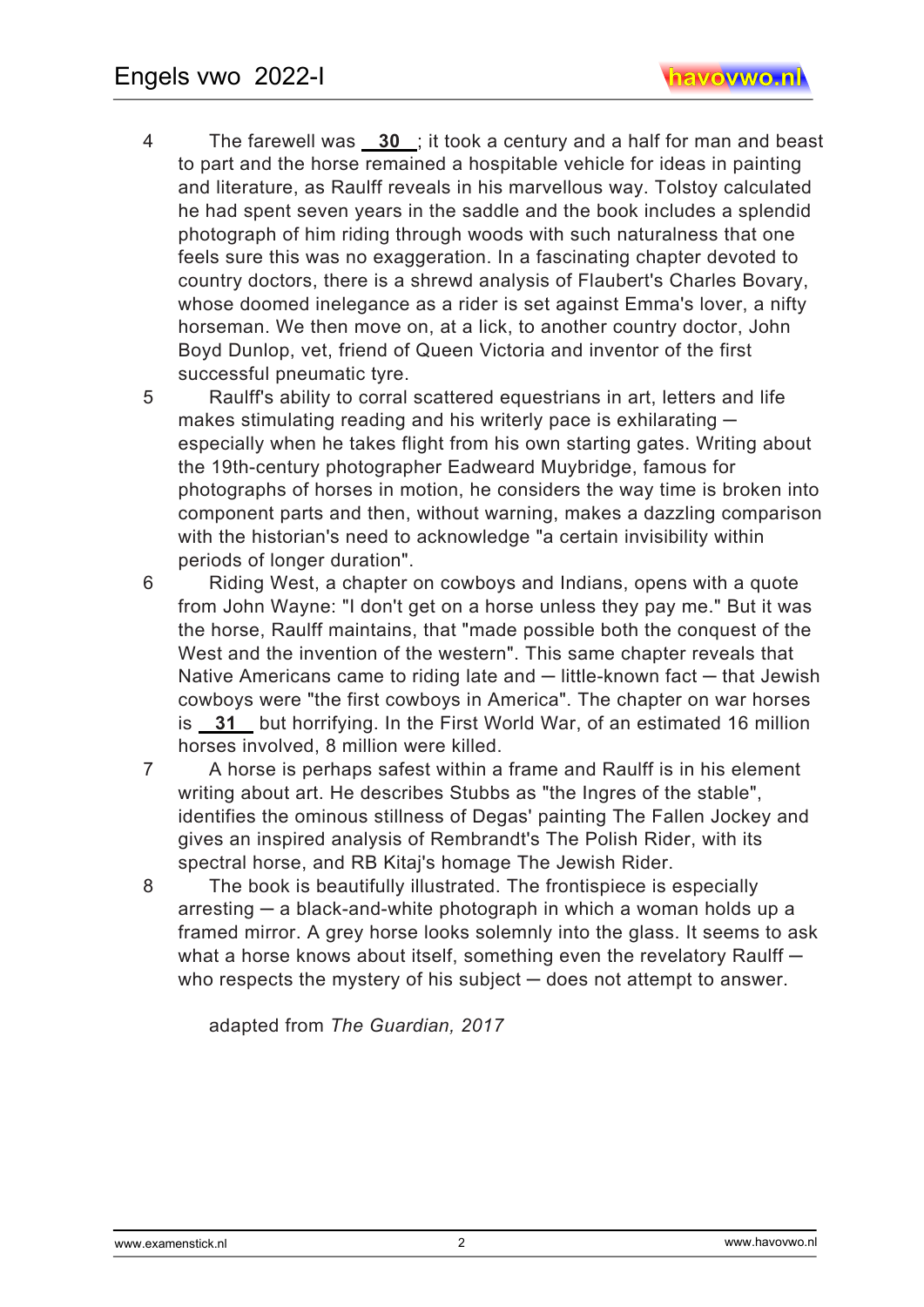4 The farewell was **30** ; it took a century and a half for man and beast to part and the horse remained a hospitable vehicle for ideas in painting and literature, as Raulff reveals in his marvellous way. Tolstoy calculated he had spent seven years in the saddle and the book includes a splendid photograph of him riding through woods with such naturalness that one feels sure this was no exaggeration. In a fascinating chapter devoted to country doctors, there is a shrewd analysis of Flaubert's Charles Bovary, whose doomed inelegance as a rider is set against Emma's lover, a nifty horseman. We then move on, at a lick, to another country doctor, John Boyd Dunlop, vet, friend of Queen Victoria and inventor of the first successful pneumatic tyre.

5 Raulff's ability to corral scattered equestrians in art, letters and life makes stimulating reading and his writerly pace is exhilarating  $$ especially when he takes flight from his own starting gates. Writing about the 19th-century photographer Eadweard Muybridge, famous for photographs of horses in motion, he considers the way time is broken into component parts and then, without warning, makes a dazzling comparison with the historian's need to acknowledge "a certain invisibility within periods of longer duration".

- 6 Riding West, a chapter on cowboys and Indians, opens with a quote from John Wayne: "I don't get on a horse unless they pay me." But it was the horse, Raulff maintains, that "made possible both the conquest of the West and the invention of the western". This same chapter reveals that Native Americans came to riding late and — little-known fact — that Jewish cowboys were "the first cowboys in America". The chapter on war horses is **31** but horrifying. In the First World War, of an estimated 16 million horses involved, 8 million were killed.
- 7 A horse is perhaps safest within a frame and Raulff is in his element writing about art. He describes Stubbs as "the Ingres of the stable", identifies the ominous stillness of Degas' painting The Fallen Jockey and gives an inspired analysis of Rembrandt's The Polish Rider, with its spectral horse, and RB Kitaj's homage The Jewish Rider.

8 The book is beautifully illustrated. The frontispiece is especially  $arresting - a black-and-white photograph in which a woman holds up a$ framed mirror. A grey horse looks solemnly into the glass. It seems to ask what a horse knows about itself, something even the revelatory Raulff  $$ who respects the mystery of his subject  $-$  does not attempt to answer.

adapted from *The Guardian, 2017*